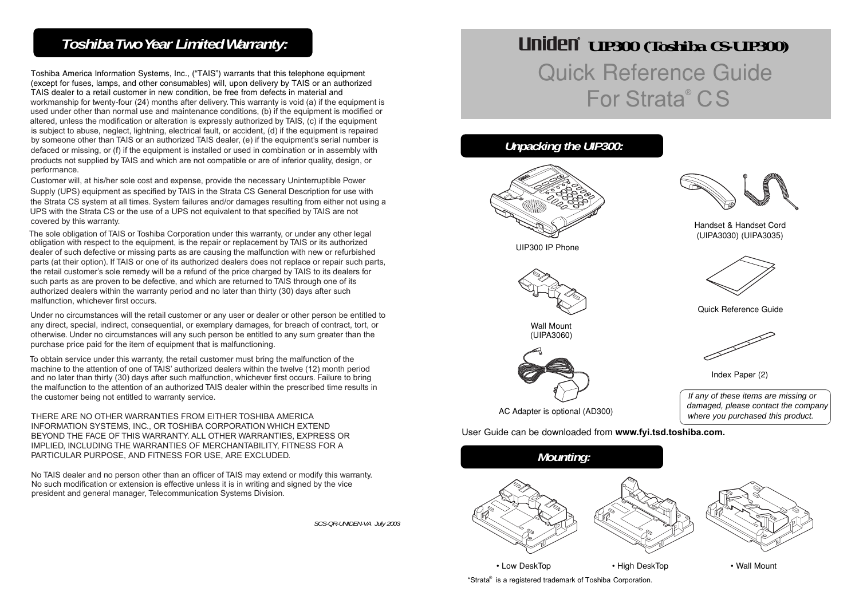# *Toshiba Two Year Limited Warranty:*

Toshiba America Information Systems, Inc., ("TAIS") warrants that this telephone equipment (except for fuses, lamps, and other consumables) will, upon delivery by TAIS or an authorized TAIS dealer to <sup>a</sup> retail customer in new condition, be free from defects in material and workmanship for twenty-four (24) months after delivery. This warranty is void (a) if the equipment is used under other than normal use and maintenance conditions, (b) if the equipment is modified or altered, unless the modification or alteration is expressly authorized by TAIS, (c) if the equipment is subject to abuse, neglect, lightning, electrical fault, or accident, (d) if the equipment is repaired by someone other than TAIS or an authorized TAIS dealer, (e) if the equipment's serial number is defaced or missing, or (f) if the equipment is installed or used in combination or in assembly with products not supplied by TAIS and which are not compatible or are of inferior quality, design, or performance.

Customer will, at his/her sole cost and expense, provide the necessary Uninterruptible Power Supply (UPS) equipment as specified by TAIS in the Strata CS General Description for use with the Strata CS system at all times. System failures and/or damages resulting from either not using <sup>a</sup> UPS with the Strata CS or the use of <sup>a</sup> UPS not equivalent to that specified by TAIS are not covered by this warranty.

The sole obligation of TAIS or Toshiba Corporation under this warranty, or under any other legal obligation with respect to the equipment, is the repair or replacement by TAIS or its authorized dealer of such defective or missing parts as are causing the malfunction with new or refurbished parts (at their option). If TAIS or one of its authorized dealers does not replace or repair such parts, the retail customer's sole remedy will be <sup>a</sup> refund of the price charged by TAIS to its dealers for such parts as are proven to be defective, and which are returned to TAIS through one of its authorized dealers within the warranty period and no later than thirty (30) days after such malfunction, whichever first occurs.

Under no circumstances will the retail customer or any user or dealer or other person be entitled to any direct, special, indirect, consequential, or exemplary damages, for breach of contract, tort, or otherwise. Under no circumstances will any such person be entitled to any sum greater than the purchase price paid for the item of equipment that is malfunctioning.

To obtain service under this warranty, the retail customer must bring the malfunction of the machine to the attention of one of TAIS' authorized dealers within the twelve (12) month period and no later than thirty (30) days after such malfunction, whichever first occurs. Failure to bring the malfunction to the attention of an authorized TAIS dealer within the prescribed time results in the customer being not entitled to warranty service.

THERE ARE NO OTHER WARRANTIES FROM EITHER TOSHIBA AMERICA INFORMATION SYSTEMS, INC., OR TOSHIBA CORPORATION WHICH EXTEND BEYOND THE FACE OF THIS WARRANTY. ALL OTHER WARRANTIES, EXPRESS OR IMPLIED, INCLUDING THE WARRANTIES OF MERCHANTABILITY, FITNESS FOR A PARTICULAR PURPOSE, AND FITNESS FOR USE, ARE EXCLUDED.

No TAIS dealer and no person other than an officer of TAIS may extend or modify this warranty. No such modification or extension is effective unless it is in writing and signed by the vice president and general manager, Telecommunication Systems Division.

*SCS-QR-UNIDEN-VA July 2003*

# *UIP300 (Toshiba CS-UIP300)* Quick Reference Guide For Strata® CS

# *Unpacking the UIP300:*









AC Adapter is optional (AD300)

User Guide can be downloaded from **www.fyi.tsd.toshiba.com.**



\*Strata® is a registered trademark of Toshiba Corporation.



Handset & Handset Cord (UIPA3030) (UIPA3035)



Quick Reference Guide



Index Paper (2)

If any of these items are missing or damaged, please contact the company where you purchased this product.